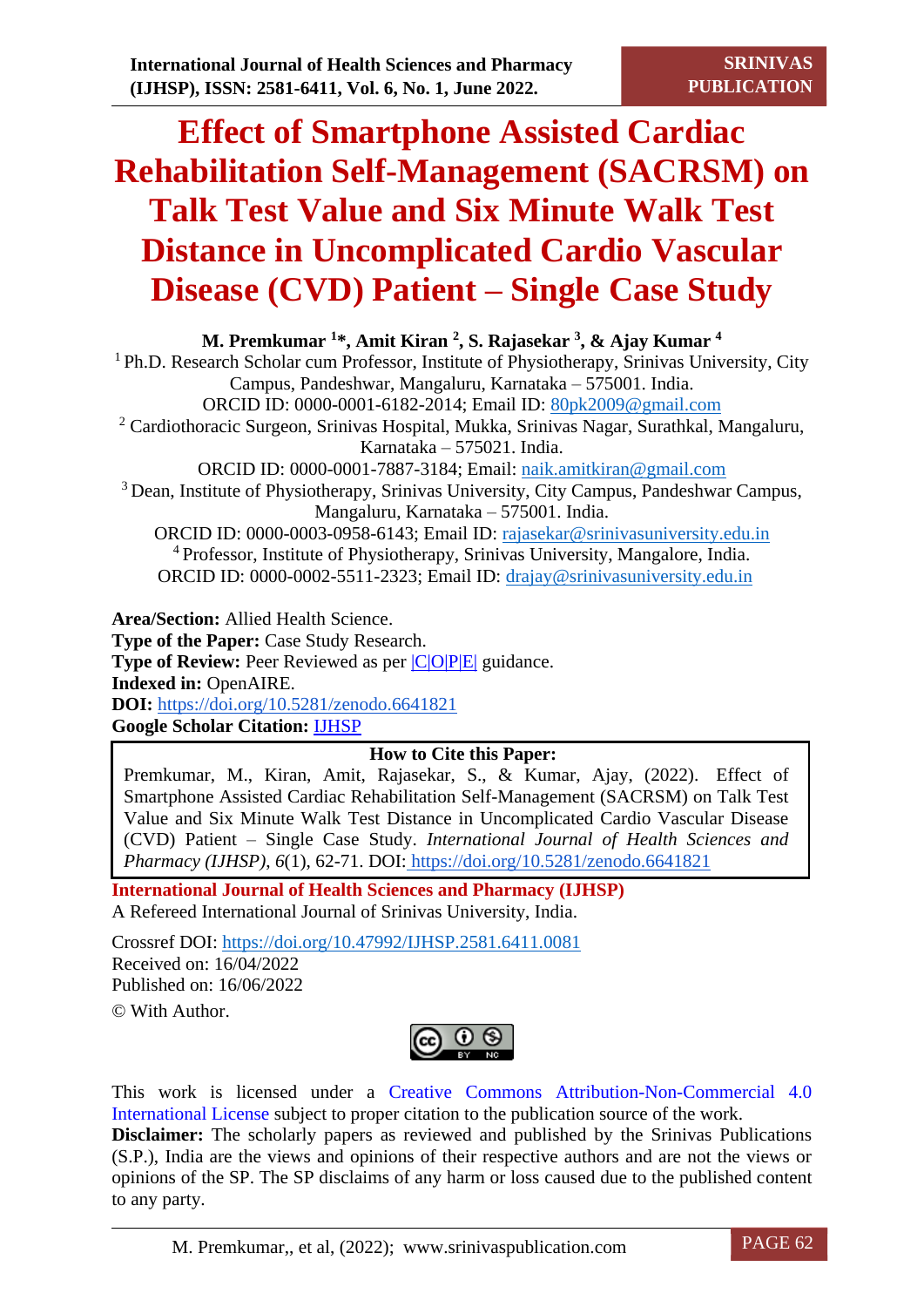# **Effect of Smartphone Assisted Cardiac Rehabilitation Self-Management (SACRSM) on Talk Test Value and Six Minute Walk Test Distance in Uncomplicated Cardio Vascular Disease (CVD) Patient – Single Case Study**

**M. Premkumar <sup>1</sup>\*, Amit Kiran <sup>2</sup> , S. Rajasekar <sup>3</sup> , & Ajay Kumar <sup>4</sup>** <sup>1</sup> Ph.D. Research Scholar cum Professor, Institute of Physiotherapy, Srinivas University, City Campus, Pandeshwar, Mangaluru, Karnataka – 575001. India. ORCID ID: 0000-0001-6182-2014; Email ID: [80pk2009@gmail.com](mailto:80pk2009@gmail.com) <sup>2</sup> Cardiothoracic Surgeon, Srinivas Hospital, Mukka, Srinivas Nagar, Surathkal, Mangaluru, Karnataka – 575021. India. ORCID ID: 0000-0001-7887-3184; Email: [naik.amitkiran@gmail.com](mailto:naik.amitkiran@gmail.com) <sup>3</sup>Dean, Institute of Physiotherapy, Srinivas University, City Campus, Pandeshwar Campus, Mangaluru, Karnataka – 575001. India. ORCID ID: 0000-0003-0958-6143; Email ID: [rajasekar@srinivasuniversity.edu.in](mailto:rajasekar@srinivasuniversity.edu.in)

<sup>4</sup>Professor, Institute of Physiotherapy, Srinivas University, Mangalore, India. ORCID ID: 0000-0002-5511-2323; Email ID: [drajay@srinivasuniversity.edu.in](mailto:drajay@srinivasuniversity.edu.in)

**Area/Section:** Allied Health Science. **Type of the Paper:** Case Study Research. **Type of Review:** Peer Reviewed as per  $|C|O||P|E|$  guidance. **Indexed in:** OpenAIRE. **DOI:** <https://doi.org/10.5281/zenodo.6641821> **Google Scholar Citation:** [IJHSP](https://scholar.google.com/citations?hl=en&user=YACMC2QAAAAJ)

# **How to Cite this Paper:**

Premkumar, M., Kiran, Amit, Rajasekar, S., & Kumar, Ajay, (2022). Effect of Smartphone Assisted Cardiac Rehabilitation Self-Management (SACRSM) on Talk Test Value and Six Minute Walk Test Distance in Uncomplicated Cardio Vascular Disease (CVD) Patient – Single Case Study. *International Journal of Health Sciences and Pharmacy (IJHSP)*, *6*(1), 62-71. DOI: <https://doi.org/10.5281/zenodo.6641821>

**International Journal of Health Sciences and Pharmacy (IJHSP)** A Refereed International Journal of Srinivas University, India.

Crossref DOI: [https://doi.org/10.47992/IJHSP.2581.6411.0081](https://search.crossref.org/?q=10.47992%2FIJHSP.2581.6411.0081&from_ui=yes) Received on: 16/04/2022 Published on: 16/06/2022 © With Author.



This work is licensed under a Creative Commons Attribution-Non-Commercial 4.0 International License subject to proper citation to the publication source of the work. **Disclaimer:** The scholarly papers as reviewed and published by the Srinivas Publications (S.P.), India are the views and opinions of their respective authors and are not the views or opinions of the SP. The SP disclaims of any harm or loss caused due to the published content to any party.

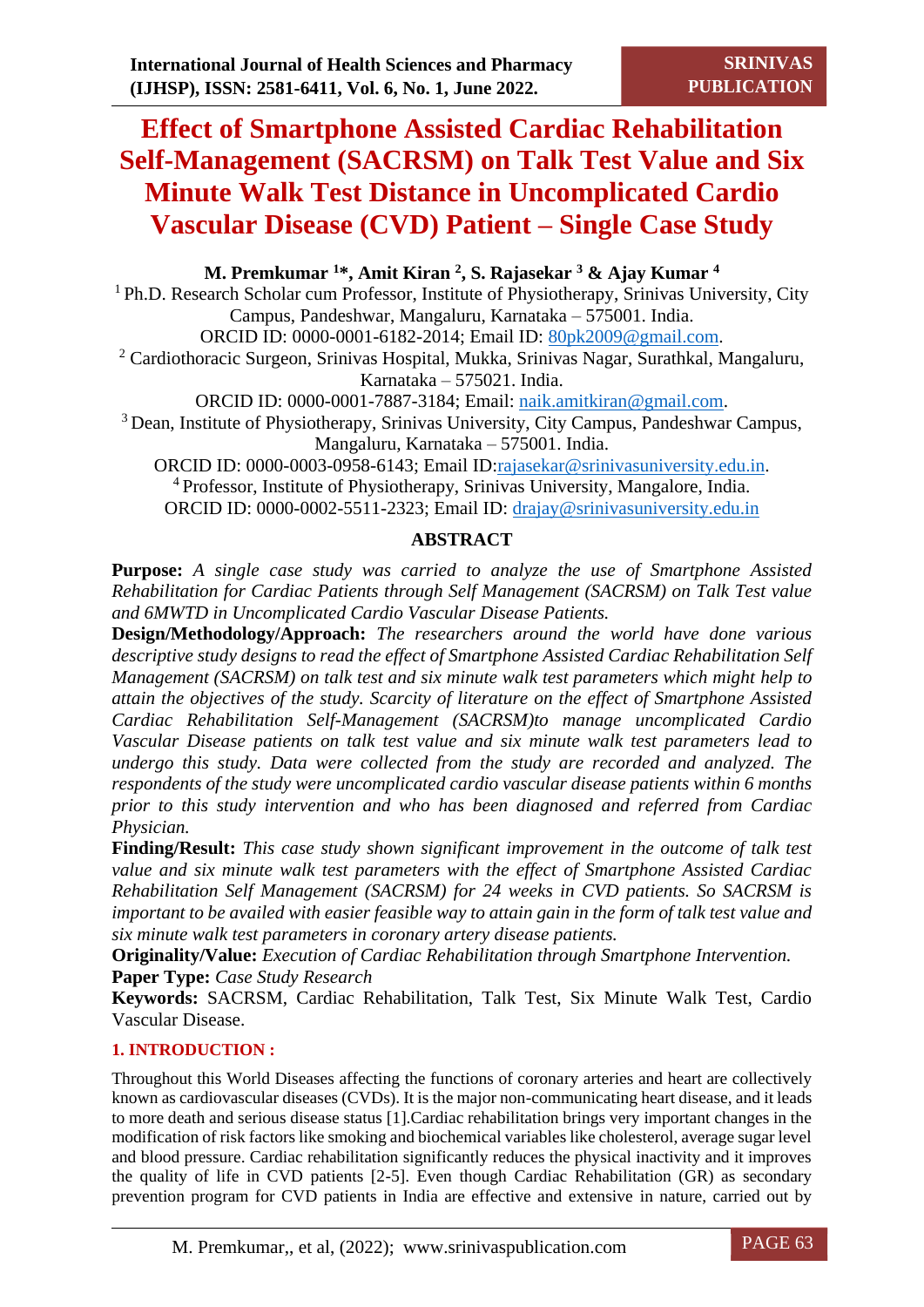# **Effect of Smartphone Assisted Cardiac Rehabilitation Self-Management (SACRSM) on Talk Test Value and Six Minute Walk Test Distance in Uncomplicated Cardio Vascular Disease (CVD) Patient – Single Case Study**

**M. Premkumar <sup>1</sup>\*, Amit Kiran <sup>2</sup> , S. Rajasekar <sup>3</sup> & Ajay Kumar <sup>4</sup>** <sup>1</sup> Ph.D. Research Scholar cum Professor, Institute of Physiotherapy, Srinivas University, City Campus, Pandeshwar, Mangaluru, Karnataka – 575001. India. ORCID ID: 0000-0001-6182-2014; Email ID: [80pk2009@gmail.com.](mailto:80pk2009@gmail.com) <sup>2</sup> Cardiothoracic Surgeon, Srinivas Hospital, Mukka, Srinivas Nagar, Surathkal, Mangaluru, Karnataka – 575021. India. ORCID ID: 0000-0001-7887-3184; Email: [naik.amitkiran@gmail.com.](mailto:naik.amitkiran@gmail.com) <sup>3</sup>Dean, Institute of Physiotherapy, Srinivas University, City Campus, Pandeshwar Campus, Mangaluru, Karnataka – 575001. India. ORCID ID: 0000-0003-0958-6143; Email ID[:rajasekar@srinivasuniversity.edu.in.](mailto:rajasekar@srinivasuniversity.edu.in) <sup>4</sup>Professor, Institute of Physiotherapy, Srinivas University, Mangalore, India.

ORCID ID: 0000-0002-5511-2323; Email ID: [drajay@srinivasuniversity.edu.in](mailto:drajay@srinivasuniversity.edu.in)

# **ABSTRACT**

**Purpose:** *A single case study was carried to analyze the use of Smartphone Assisted Rehabilitation for Cardiac Patients through Self Management (SACRSM) on Talk Test value and 6MWTD in Uncomplicated Cardio Vascular Disease Patients.*

**Design/Methodology/Approach:** *The researchers around the world have done various descriptive study designs to read the effect of Smartphone Assisted Cardiac Rehabilitation Self Management (SACRSM) on talk test and six minute walk test parameters which might help to attain the objectives of the study. Scarcity of literature on the effect of Smartphone Assisted Cardiac Rehabilitation Self-Management (SACRSM)to manage uncomplicated Cardio Vascular Disease patients on talk test value and six minute walk test parameters lead to undergo this study. Data were collected from the study are recorded and analyzed. The respondents of the study were uncomplicated cardio vascular disease patients within 6 months prior to this study intervention and who has been diagnosed and referred from Cardiac Physician.*

**Finding/Result:** *This case study shown significant improvement in the outcome of talk test value and six minute walk test parameters with the effect of Smartphone Assisted Cardiac Rehabilitation Self Management (SACRSM) for 24 weeks in CVD patients. So SACRSM is important to be availed with easier feasible way to attain gain in the form of talk test value and six minute walk test parameters in coronary artery disease patients.*

**Originality/Value:** *Execution of Cardiac Rehabilitation through Smartphone Intervention.* **Paper Type:** *Case Study Research*

**Keywords:** SACRSM, Cardiac Rehabilitation, Talk Test, Six Minute Walk Test, Cardio Vascular Disease.

# **1. INTRODUCTION :**

Throughout this World Diseases affecting the functions of coronary arteries and heart are collectively known as cardiovascular diseases (CVDs). It is the major non-communicating heart disease, and it leads to more death and serious disease status [1].Cardiac rehabilitation brings very important changes in the modification of risk factors like smoking and biochemical variables like cholesterol, average sugar level and blood pressure. Cardiac rehabilitation significantly reduces the physical inactivity and it improves the quality of life in CVD patients [2-5]. Even though Cardiac Rehabilitation (GR) as secondary prevention program for CVD patients in India are effective and extensive in nature, carried out by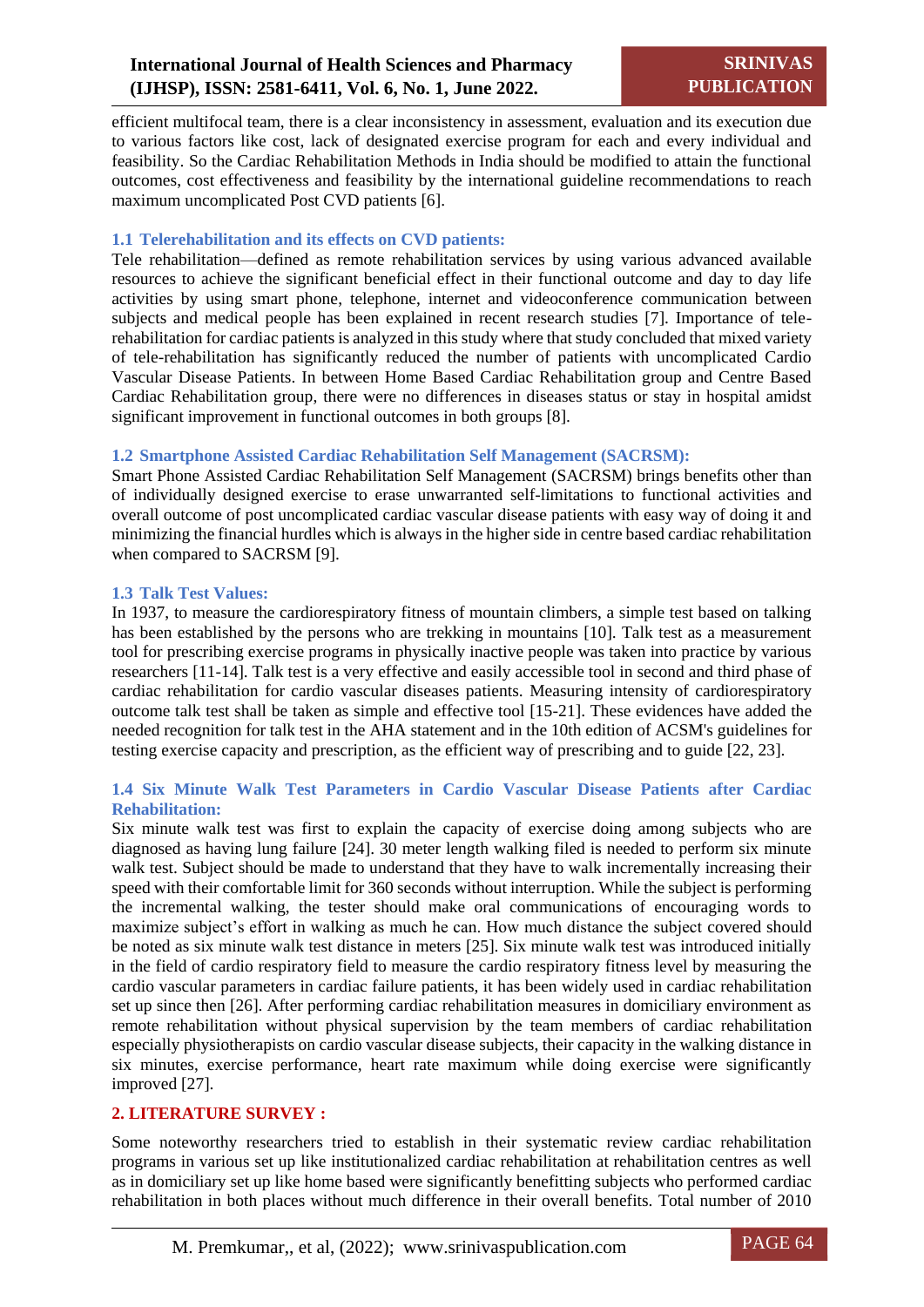efficient multifocal team, there is a clear inconsistency in assessment, evaluation and its execution due to various factors like cost, lack of designated exercise program for each and every individual and feasibility. So the Cardiac Rehabilitation Methods in India should be modified to attain the functional outcomes, cost effectiveness and feasibility by the international guideline recommendations to reach maximum uncomplicated Post CVD patients [6].

#### **1.1 Telerehabilitation and its effects on CVD patients:**

Tele rehabilitation—defined as remote rehabilitation services by using various advanced available resources to achieve the significant beneficial effect in their functional outcome and day to day life activities by using smart phone, telephone, internet and videoconference communication between subjects and medical people has been explained in recent research studies [7]. Importance of telerehabilitation for cardiac patients is analyzed in this study where that study concluded that mixed variety of tele-rehabilitation has significantly reduced the number of patients with uncomplicated Cardio Vascular Disease Patients. In between Home Based Cardiac Rehabilitation group and Centre Based Cardiac Rehabilitation group, there were no differences in diseases status or stay in hospital amidst significant improvement in functional outcomes in both groups [8].

#### **1.2 Smartphone Assisted Cardiac Rehabilitation Self Management (SACRSM):**

Smart Phone Assisted Cardiac Rehabilitation Self Management (SACRSM) brings benefits other than of individually designed exercise to erase unwarranted self-limitations to functional activities and overall outcome of post uncomplicated cardiac vascular disease patients with easy way of doing it and minimizing the financial hurdles which is always in the higher side in centre based cardiac rehabilitation when compared to SACRSM [9].

#### **1.3 Talk Test Values:**

In 1937, to measure the cardiorespiratory fitness of mountain climbers, a simple test based on talking has been established by the persons who are trekking in mountains [10]. Talk test as a measurement tool for prescribing exercise programs in physically inactive people was taken into practice by various researchers [11-14]. Talk test is a very effective and easily accessible tool in second and third phase of cardiac rehabilitation for cardio vascular diseases patients. Measuring intensity of cardiorespiratory outcome talk test shall be taken as simple and effective tool [15-21]. These evidences have added the needed recognition for talk test in the AHA statement and in the 10th edition of ACSM's guidelines for testing exercise capacity and prescription, as the efficient way of prescribing and to guide [22, 23].

#### **1.4 Six Minute Walk Test Parameters in Cardio Vascular Disease Patients after Cardiac Rehabilitation:**

Six minute walk test was first to explain the capacity of exercise doing among subjects who are diagnosed as having lung failure [24]. 30 meter length walking filed is needed to perform six minute walk test. Subject should be made to understand that they have to walk incrementally increasing their speed with their comfortable limit for 360 seconds without interruption. While the subject is performing the incremental walking, the tester should make oral communications of encouraging words to maximize subject's effort in walking as much he can. How much distance the subject covered should be noted as six minute walk test distance in meters [25]. Six minute walk test was introduced initially in the field of cardio respiratory field to measure the cardio respiratory fitness level by measuring the cardio vascular parameters in cardiac failure patients, it has been widely used in cardiac rehabilitation set up since then [26]. After performing cardiac rehabilitation measures in domiciliary environment as remote rehabilitation without physical supervision by the team members of cardiac rehabilitation especially physiotherapists on cardio vascular disease subjects, their capacity in the walking distance in six minutes, exercise performance, heart rate maximum while doing exercise were significantly improved [27].

# **2. LITERATURE SURVEY :**

Some noteworthy researchers tried to establish in their systematic review cardiac rehabilitation programs in various set up like institutionalized cardiac rehabilitation at rehabilitation centres as well as in domiciliary set up like home based were significantly benefitting subjects who performed cardiac rehabilitation in both places without much difference in their overall benefits. Total number of 2010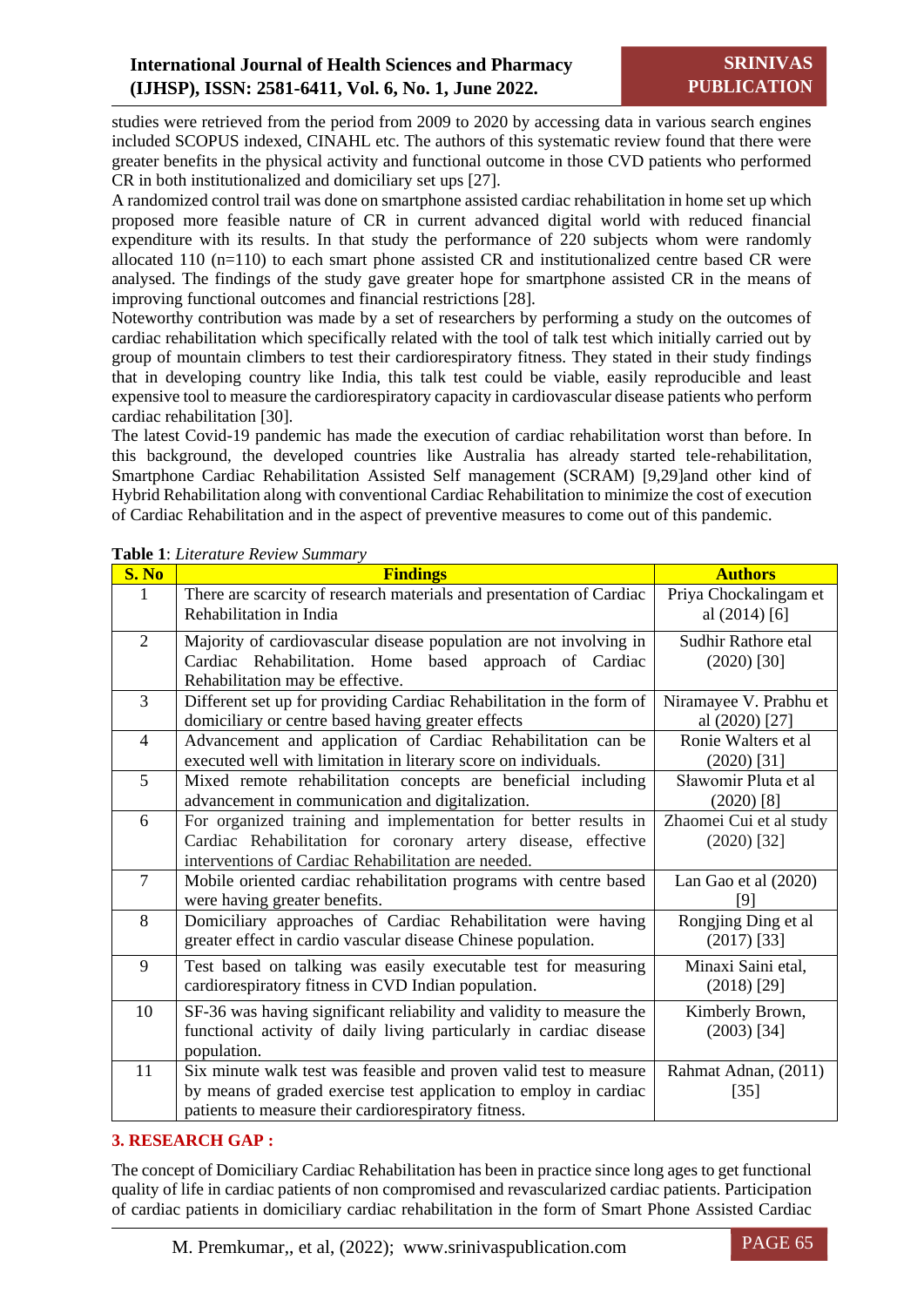studies were retrieved from the period from 2009 to 2020 by accessing data in various search engines included SCOPUS indexed, CINAHL etc. The authors of this systematic review found that there were greater benefits in the physical activity and functional outcome in those CVD patients who performed CR in both institutionalized and domiciliary set ups [27].

A randomized control trail was done on smartphone assisted cardiac rehabilitation in home set up which proposed more feasible nature of CR in current advanced digital world with reduced financial expenditure with its results. In that study the performance of 220 subjects whom were randomly allocated 110 (n=110) to each smart phone assisted CR and institutionalized centre based CR were analysed. The findings of the study gave greater hope for smartphone assisted CR in the means of improving functional outcomes and financial restrictions [28].

Noteworthy contribution was made by a set of researchers by performing a study on the outcomes of cardiac rehabilitation which specifically related with the tool of talk test which initially carried out by group of mountain climbers to test their cardiorespiratory fitness. They stated in their study findings that in developing country like India, this talk test could be viable, easily reproducible and least expensive tool to measure the cardiorespiratory capacity in cardiovascular disease patients who perform cardiac rehabilitation [30].

The latest Covid-19 pandemic has made the execution of cardiac rehabilitation worst than before. In this background, the developed countries like Australia has already started tele-rehabilitation, Smartphone Cardiac Rehabilitation Assisted Self management (SCRAM) [9,29]and other kind of Hybrid Rehabilitation along with conventional Cardiac Rehabilitation to minimize the cost of execution of Cardiac Rehabilitation and in the aspect of preventive measures to come out of this pandemic.

| S. No          | <b>rapic 1.</b> Lueralitie Review Summary<br><b>Findings</b>                                                                                                                                    | <b>Authors</b>                           |
|----------------|-------------------------------------------------------------------------------------------------------------------------------------------------------------------------------------------------|------------------------------------------|
| 1              | There are scarcity of research materials and presentation of Cardiac<br>Rehabilitation in India                                                                                                 | Priya Chockalingam et<br>al $(2014)$ [6] |
| $\overline{2}$ | Majority of cardiovascular disease population are not involving in<br>Cardiac Rehabilitation. Home based approach of Cardiac<br>Rehabilitation may be effective.                                | Sudhir Rathore etal<br>$(2020)$ [30]     |
| $\overline{3}$ | Different set up for providing Cardiac Rehabilitation in the form of<br>domiciliary or centre based having greater effects                                                                      | Niramayee V. Prabhu et<br>al (2020) [27] |
| $\overline{4}$ | Advancement and application of Cardiac Rehabilitation can be<br>executed well with limitation in literary score on individuals.                                                                 | Ronie Walters et al<br>$(2020)$ [31]     |
| 5              | Mixed remote rehabilitation concepts are beneficial including<br>advancement in communication and digitalization.                                                                               | Sławomir Pluta et al<br>$(2020)$ [8]     |
| 6              | For organized training and implementation for better results in<br>Cardiac Rehabilitation for coronary artery disease, effective<br>interventions of Cardiac Rehabilitation are needed.         | Zhaomei Cui et al study<br>$(2020)$ [32] |
| $\overline{7}$ | Mobile oriented cardiac rehabilitation programs with centre based<br>were having greater benefits.                                                                                              | Lan Gao et al $(2020)$<br>[9]            |
| 8              | Domiciliary approaches of Cardiac Rehabilitation were having<br>greater effect in cardio vascular disease Chinese population.                                                                   | Rongjing Ding et al<br>$(2017)$ [33]     |
| 9              | Test based on talking was easily executable test for measuring<br>cardiorespiratory fitness in CVD Indian population.                                                                           | Minaxi Saini etal,<br>$(2018)$ [29]      |
| 10             | SF-36 was having significant reliability and validity to measure the<br>functional activity of daily living particularly in cardiac disease<br>population.                                      | Kimberly Brown,<br>$(2003)$ [34]         |
| 11             | Six minute walk test was feasible and proven valid test to measure<br>by means of graded exercise test application to employ in cardiac<br>patients to measure their cardiorespiratory fitness. | Rahmat Adnan, (2011)<br>$[35]$           |

# **Table 1**: *Literature Review Summary*

# **3. RESEARCH GAP :**

The concept of Domiciliary Cardiac Rehabilitation has been in practice since long ages to get functional quality of life in cardiac patients of non compromised and revascularized cardiac patients. Participation of cardiac patients in domiciliary cardiac rehabilitation in the form of Smart Phone Assisted Cardiac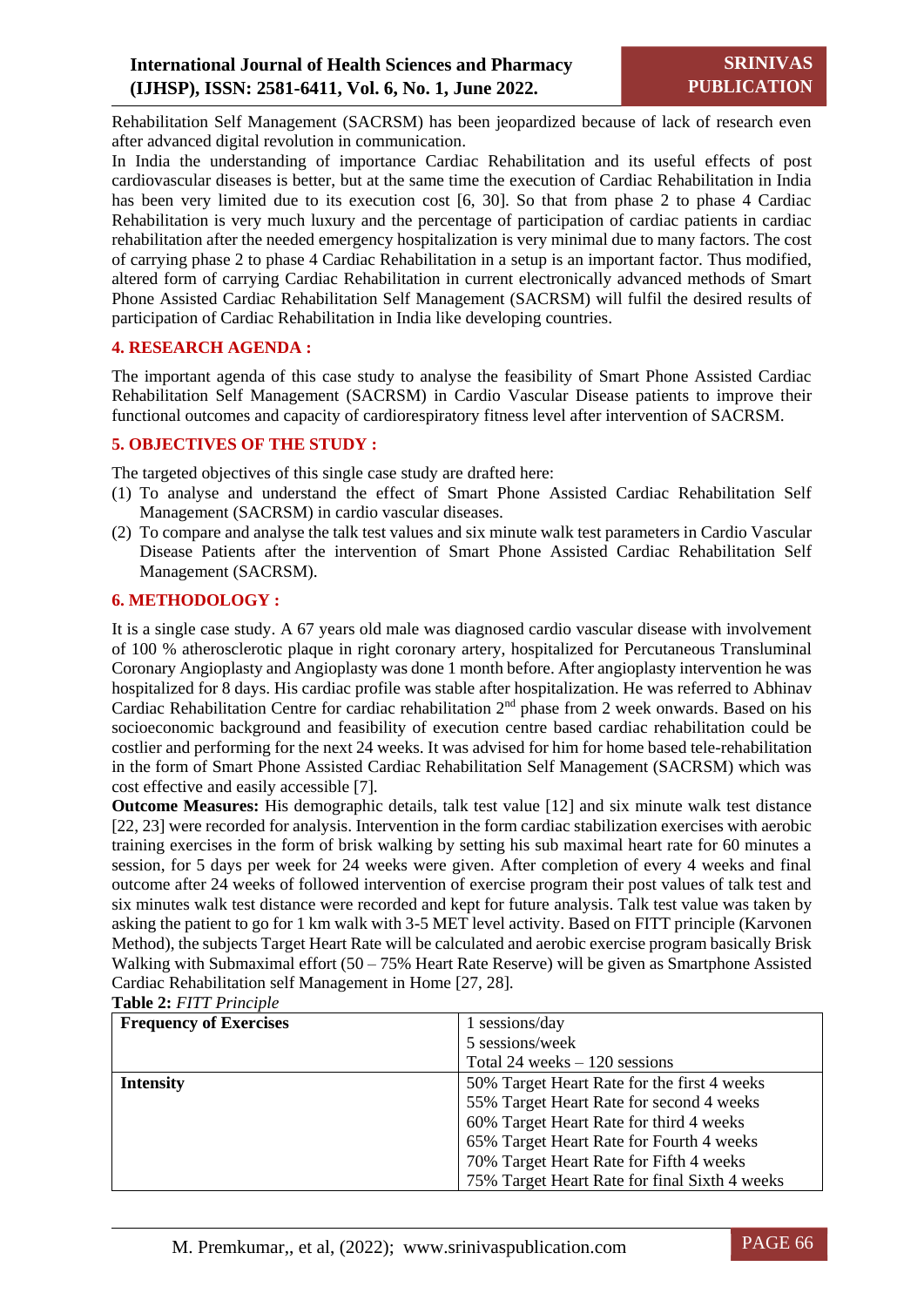Rehabilitation Self Management (SACRSM) has been jeopardized because of lack of research even after advanced digital revolution in communication.

In India the understanding of importance Cardiac Rehabilitation and its useful effects of post cardiovascular diseases is better, but at the same time the execution of Cardiac Rehabilitation in India has been very limited due to its execution cost [6, 30]. So that from phase 2 to phase 4 Cardiac Rehabilitation is very much luxury and the percentage of participation of cardiac patients in cardiac rehabilitation after the needed emergency hospitalization is very minimal due to many factors. The cost of carrying phase 2 to phase 4 Cardiac Rehabilitation in a setup is an important factor. Thus modified, altered form of carrying Cardiac Rehabilitation in current electronically advanced methods of Smart Phone Assisted Cardiac Rehabilitation Self Management (SACRSM) will fulfil the desired results of participation of Cardiac Rehabilitation in India like developing countries.

# **4. RESEARCH AGENDA :**

The important agenda of this case study to analyse the feasibility of Smart Phone Assisted Cardiac Rehabilitation Self Management (SACRSM) in Cardio Vascular Disease patients to improve their functional outcomes and capacity of cardiorespiratory fitness level after intervention of SACRSM.

#### **5. OBJECTIVES OF THE STUDY :**

The targeted objectives of this single case study are drafted here:

- (1) To analyse and understand the effect of Smart Phone Assisted Cardiac Rehabilitation Self Management (SACRSM) in cardio vascular diseases.
- (2) To compare and analyse the talk test values and six minute walk test parameters in Cardio Vascular Disease Patients after the intervention of Smart Phone Assisted Cardiac Rehabilitation Self Management (SACRSM).

#### **6. METHODOLOGY :**

It is a single case study. A 67 years old male was diagnosed cardio vascular disease with involvement of 100 % atherosclerotic plaque in right coronary artery, hospitalized for Percutaneous Transluminal Coronary Angioplasty and Angioplasty was done 1 month before. After angioplasty intervention he was hospitalized for 8 days. His cardiac profile was stable after hospitalization. He was referred to Abhinav Cardiac Rehabilitation Centre for cardiac rehabilitation 2<sup>nd</sup> phase from 2 week onwards. Based on his socioeconomic background and feasibility of execution centre based cardiac rehabilitation could be costlier and performing for the next 24 weeks. It was advised for him for home based tele-rehabilitation in the form of Smart Phone Assisted Cardiac Rehabilitation Self Management (SACRSM) which was cost effective and easily accessible [7].

**Outcome Measures:** His demographic details, talk test value [12] and six minute walk test distance [22, 23] were recorded for analysis. Intervention in the form cardiac stabilization exercises with aerobic training exercises in the form of brisk walking by setting his sub maximal heart rate for 60 minutes a session, for 5 days per week for 24 weeks were given. After completion of every 4 weeks and final outcome after 24 weeks of followed intervention of exercise program their post values of talk test and six minutes walk test distance were recorded and kept for future analysis. Talk test value was taken by asking the patient to go for 1 km walk with 3-5 MET level activity. Based on FITT principle (Karvonen Method), the subjects Target Heart Rate will be calculated and aerobic exercise program basically Brisk Walking with Submaximal effort  $(50 - 75\%$  Heart Rate Reserve) will be given as Smartphone Assisted Cardiac Rehabilitation self Management in Home [27, 28].

| <b>Frequency of Exercises</b> | 1 sessions/day                                |
|-------------------------------|-----------------------------------------------|
|                               | 5 sessions/week                               |
|                               | Total 24 weeks $-120$ sessions                |
| <b>Intensity</b>              | 50% Target Heart Rate for the first 4 weeks   |
|                               | 55% Target Heart Rate for second 4 weeks      |
|                               | 60% Target Heart Rate for third 4 weeks       |
|                               | 65% Target Heart Rate for Fourth 4 weeks      |
|                               | 70% Target Heart Rate for Fifth 4 weeks       |
|                               | 75% Target Heart Rate for final Sixth 4 weeks |

**Table 2:** *FITT Principle*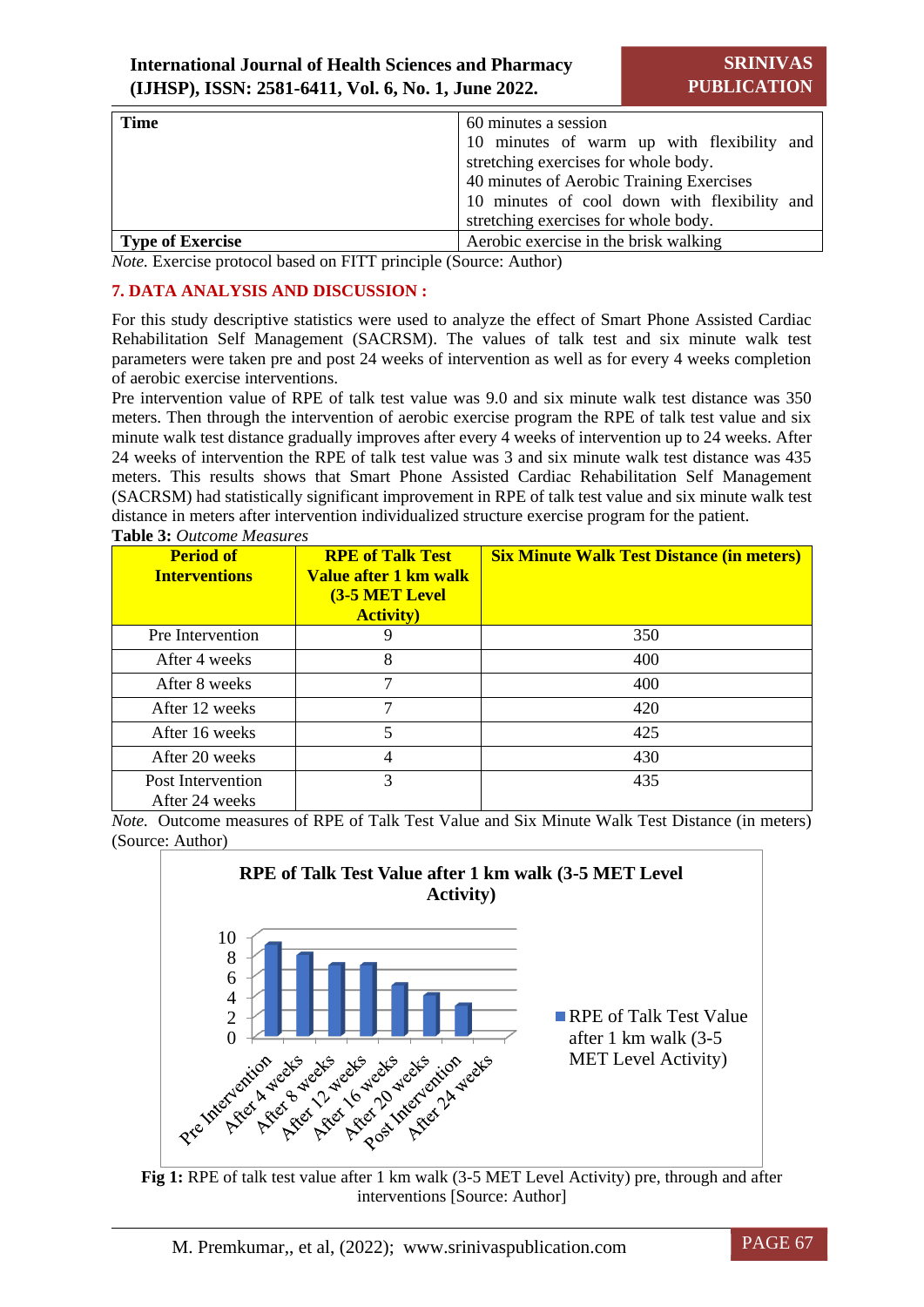| <b>Time</b><br>60 minutes a session |                                              |
|-------------------------------------|----------------------------------------------|
|                                     | 10 minutes of warm up with flexibility and   |
|                                     | stretching exercises for whole body.         |
|                                     | 40 minutes of Aerobic Training Exercises     |
|                                     | 10 minutes of cool down with flexibility and |
|                                     | stretching exercises for whole body.         |
| <b>Type of Exercise</b>             | Aerobic exercise in the brisk walking        |

*Note.* Exercise protocol based on FITT principle (Source: Author)

# **7. DATA ANALYSIS AND DISCUSSION :**

For this study descriptive statistics were used to analyze the effect of Smart Phone Assisted Cardiac Rehabilitation Self Management (SACRSM). The values of talk test and six minute walk test parameters were taken pre and post 24 weeks of intervention as well as for every 4 weeks completion of aerobic exercise interventions.

Pre intervention value of RPE of talk test value was 9.0 and six minute walk test distance was 350 meters. Then through the intervention of aerobic exercise program the RPE of talk test value and six minute walk test distance gradually improves after every 4 weeks of intervention up to 24 weeks. After 24 weeks of intervention the RPE of talk test value was 3 and six minute walk test distance was 435 meters. This results shows that Smart Phone Assisted Cardiac Rehabilitation Self Management (SACRSM) had statistically significant improvement in RPE of talk test value and six minute walk test distance in meters after intervention individualized structure exercise program for the patient. **Table 3:** *Outcome Measures* 

| <b>Period of</b><br><b>Interventions</b> | <b>RPE of Talk Test</b><br>Value after 1 km walk<br><b>(3-5 MET Level</b><br><b>Activity</b> ) | <b>Six Minute Walk Test Distance (in meters)</b> |
|------------------------------------------|------------------------------------------------------------------------------------------------|--------------------------------------------------|
| Pre Intervention                         | 9                                                                                              | 350                                              |
| After 4 weeks                            | 8                                                                                              | 400                                              |
| After 8 weeks                            | 7                                                                                              | 400                                              |
| After 12 weeks                           | 7                                                                                              | 420                                              |
| After 16 weeks                           | 5                                                                                              | 425                                              |
| After 20 weeks                           | 4                                                                                              | 430                                              |
| Post Intervention<br>After 24 weeks      | 3                                                                                              | 435                                              |

*Note.* Outcome measures of RPE of Talk Test Value and Six Minute Walk Test Distance (in meters) (Source: Author)





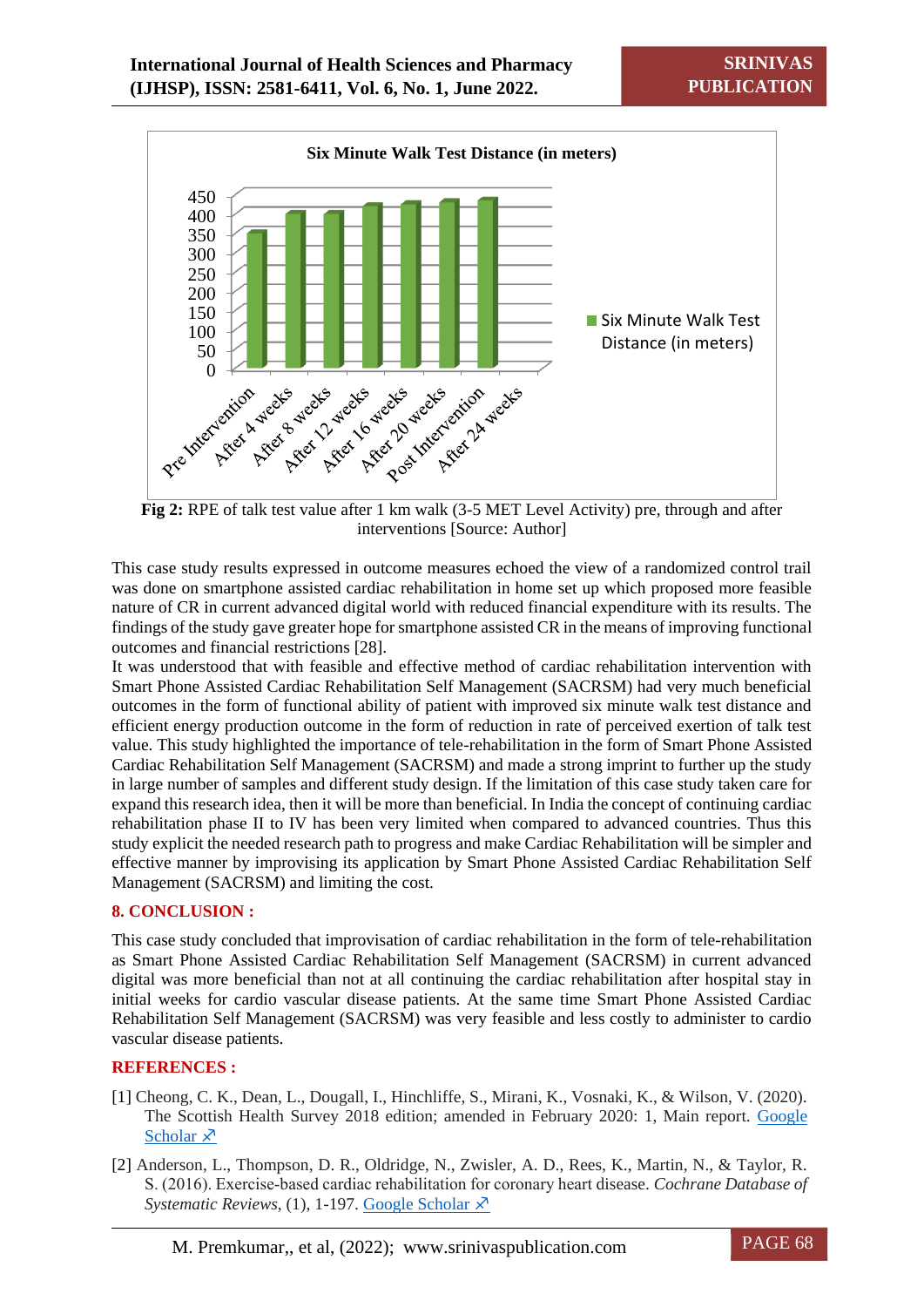

Fig 2: RPE of talk test value after 1 km walk (3-5 MET Level Activity) pre, through and after interventions [Source: Author]

This case study results expressed in outcome measures echoed the view of a randomized control trail was done on smartphone assisted cardiac rehabilitation in home set up which proposed more feasible nature of CR in current advanced digital world with reduced financial expenditure with its results. The findings of the study gave greater hope for smartphone assisted CR in the means of improving functional outcomes and financial restrictions [28].

It was understood that with feasible and effective method of cardiac rehabilitation intervention with Smart Phone Assisted Cardiac Rehabilitation Self Management (SACRSM) had very much beneficial outcomes in the form of functional ability of patient with improved six minute walk test distance and efficient energy production outcome in the form of reduction in rate of perceived exertion of talk test value. This study highlighted the importance of tele-rehabilitation in the form of Smart Phone Assisted Cardiac Rehabilitation Self Management (SACRSM) and made a strong imprint to further up the study in large number of samples and different study design. If the limitation of this case study taken care for expand this research idea, then it will be more than beneficial. In India the concept of continuing cardiac rehabilitation phase II to IV has been very limited when compared to advanced countries. Thus this study explicit the needed research path to progress and make Cardiac Rehabilitation will be simpler and effective manner by improvising its application by Smart Phone Assisted Cardiac Rehabilitation Self Management (SACRSM) and limiting the cost.

# **8. CONCLUSION :**

This case study concluded that improvisation of cardiac rehabilitation in the form of tele-rehabilitation as Smart Phone Assisted Cardiac Rehabilitation Self Management (SACRSM) in current advanced digital was more beneficial than not at all continuing the cardiac rehabilitation after hospital stay in initial weeks for cardio vascular disease patients. At the same time Smart Phone Assisted Cardiac Rehabilitation Self Management (SACRSM) was very feasible and less costly to administer to cardio vascular disease patients.

# **REFERENCES :**

- [1] Cheong, C. K., Dean, L., Dougall, I., Hinchliffe, S., Mirani, K., Vosnaki, K., & Wilson, V. (2020). The Scottish Health Survey 2018 edition; amended in February 2020: 1, Main report. [Google](file:///C:/Users/P.S%20AITHAL/Downloads/scottish-health-survey-2018-edition-amended-february-2020-volume-1-main-report.pdf)  [Scholar](file:///C:/Users/P.S%20AITHAL/Downloads/scottish-health-survey-2018-edition-amended-february-2020-volume-1-main-report.pdf)  $\lambda$
- [2] Anderson, L., Thompson, D. R., Oldridge, N., Zwisler, A. D., Rees, K., Martin, N., & Taylor, R. S. (2016). Exercise‐based cardiac rehabilitation for coronary heart disease. *Cochrane Database of Systematic Reviews*, (1), 1-197. [Google Scholar](file:///C:/Users/P.S%20AITHAL/Downloads/Dr.M.Premkumar%20Study%20Artice%20for%20SU%20Publications.docx)  $\chi$ <sup>3</sup>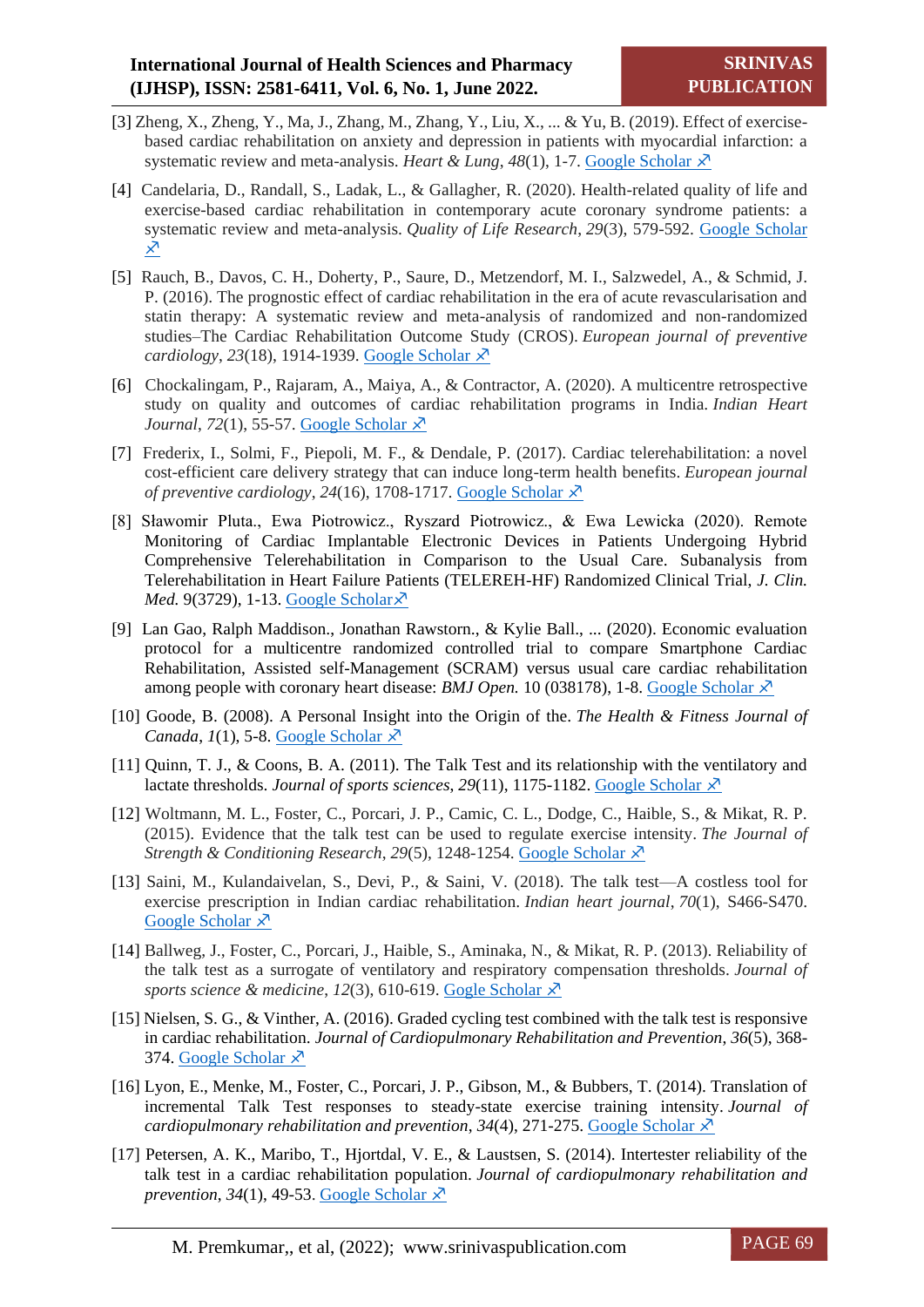- [3] Zheng, X., Zheng, Y., Ma, J., Zhang, M., Zhang, Y., Liu, X., ... & Yu, B. (2019). Effect of exercisebased cardiac rehabilitation on anxiety and depression in patients with myocardial infarction: a systematic review and meta-analysis. *Heart & Lung*,  $48(1)$ , 1-7. [Google Scholar](file:///C:/Users/P.S%20AITHAL/Downloads/S0147956318301559.htm)  $\lambda^2$
- [4] Candelaria, D., Randall, S., Ladak, L., & Gallagher, R. (2020). Health-related quality of life and exercise-based cardiac rehabilitation in contemporary acute coronary syndrome patients: a systematic review and meta-analysis. *Quality of Life Research*, *29*(3), 579-592. [Google Scholar](file:///C:/Users/P.S%20AITHAL/Downloads/s11136-019-02338-y.htm)   $\overline{\mathsf{x}}$
- [5] Rauch, B., Davos, C. H., Doherty, P., Saure, D., Metzendorf, M. I., Salzwedel, A., & Schmid, J. P. (2016). The prognostic effect of cardiac rehabilitation in the era of acute revascularisation and statin therapy: A systematic review and meta-analysis of randomized and non-randomized studies–The Cardiac Rehabilitation Outcome Study (CROS). *European journal of preventive cardiology*, 23(18), 1914-1939. [Google Scholar](file:///C:/Users/P.S%20AITHAL/Downloads/5919097.htm) ∗
- [6] Chockalingam, P., Rajaram, A., Maiya, A., & Contractor, A. (2020). A multicentre retrospective study on quality and outcomes of cardiac rehabilitation programs in India. *Indian Heart Journal*, *72*(1), 55-57. [Google Scholar](file:///C:/Users/P.S%20AITHAL/Downloads/S0019483220300444.htm)  $\chi$ <sup>3</sup>
- [7] Frederix, I., Solmi, F., Piepoli, M. F., & Dendale, P. (2017). Cardiac telerehabilitation: a novel cost-efficient care delivery strategy that can induce long-term health benefits. *European journal of preventive cardiology*, 24(16), 1708-1717. [Google Scholar](file:///C:/Users/P.S%20AITHAL/Downloads/5926824.htm)  $\lambda$ <sup>7</sup>
- [8] Sławomir Pluta., Ewa Piotrowicz., Ryszard Piotrowicz., & Ewa Lewicka (2020). Remote Monitoring of Cardiac Implantable Electronic Devices in Patients Undergoing Hybrid Comprehensive Telerehabilitation in Comparison to the Usual Care. Subanalysis from Telerehabilitation in Heart Failure Patients (TELEREH-HF) Randomized Clinical Trial, *J. Clin. Med.* 9(3729), 1-13. [Google Scholar](file:///C:/Users/P.S%20AITHAL/Downloads/e038178.abstract)  $\times$
- [9] Lan Gao, Ralph Maddison., Jonathan Rawstorn., & Kylie Ball., ... (2020). Economic evaluation protocol for a multicentre randomized controlled trial to compare Smartphone Cardiac Rehabilitation, Assisted self-Management (SCRAM) versus usual care cardiac rehabilitation among people with coronary heart disease: *BMJ Open.* 10 (038178), 1-8. [Google Scholar](file:///C:/Users/P.S%20AITHAL/Downloads/e038178.abstract)  $\lambda$
- [10] Goode, B. (2008). A Personal Insight into the Origin of the. *The Health & Fitness Journal of Canada*,  $I(1)$ , 5-8. [Google Scholar](file:///C:/Users/P.S%20AITHAL/Downloads/2.htm)  $\lambda$
- [11] Quinn, T. J., & Coons, B. A. (2011). The Talk Test and its relationship with the ventilatory and lactate thresholds. *Journal of sports sciences*, 29(11), 1175-1182. [Google Scholar](file:///C:/Users/P.S%20AITHAL/Downloads/02640414.2011.585165)  $\lambda^3$
- [12] Woltmann, M. L., Foster, C., Porcari, J. P., Camic, C. L., Dodge, C., Haible, S., & Mikat, R. P. (2015). Evidence that the talk test can be used to regulate exercise intensity. *The Journal of Strength & Conditioning Research*, *29*(5), 1248-1254. [Google Scholar](file:///C:/Users/P.S%20AITHAL/Downloads/download.htm)
- [13] Saini, M., Kulandaivelan, S., Devi, P., & Saini, V. (2018). The talk test—A costless tool for exercise prescription in Indian cardiac rehabilitation. *Indian heart journal*, *70*(1), S466-S470. [Google Scholar](file:///C:/Users/P.S%20AITHAL/Downloads/S0019483218302025.htm)  $\lambda$
- [14] Ballweg, J., Foster, C., Porcari, J., Haible, S., Aminaka, N., & Mikat, R. P. (2013). Reliability of the talk test as a surrogate of ventilatory and respiratory compensation thresholds. *Journal of sports science & medicine, 12(3), 610-619. Gogle Scholar*  $\lambda$ <sup>7</sup>
- [15] Nielsen, S. G., & Vinther, A. (2016). Graded cycling test combined with the talk test is responsive in cardiac rehabilitation. *Journal of Cardiopulmonary Rehabilitation and Prevention*, *36*(5), 368- 374. [Google Scholar](file:///C:/Users/P.S%20AITHAL/Downloads/art00008.htm)  $\overline{X}$
- [16] Lyon, E., Menke, M., Foster, C., Porcari, J. P., Gibson, M., & Bubbers, T. (2014). Translation of incremental Talk Test responses to steady-state exercise training intensity. *Journal of cardiopulmonary rehabilitation and prevention, 34(4), 271-275. [Google Scholar](file:///C:/Users/P.S%20AITHAL/Downloads/download%20(1).htm)*  $\lambda$ *<sup>7</sup>*
- [17] Petersen, A. K., Maribo, T., Hjortdal, V. E., & Laustsen, S. (2014). Intertester reliability of the talk test in a cardiac rehabilitation population. *Journal of cardiopulmonary rehabilitation and prevention*, 34(1), 49-53. [Google Scholar](file:///C:/Users/P.S%20AITHAL/Downloads/download%20(2).htm)  $\lambda$ <sup>7</sup>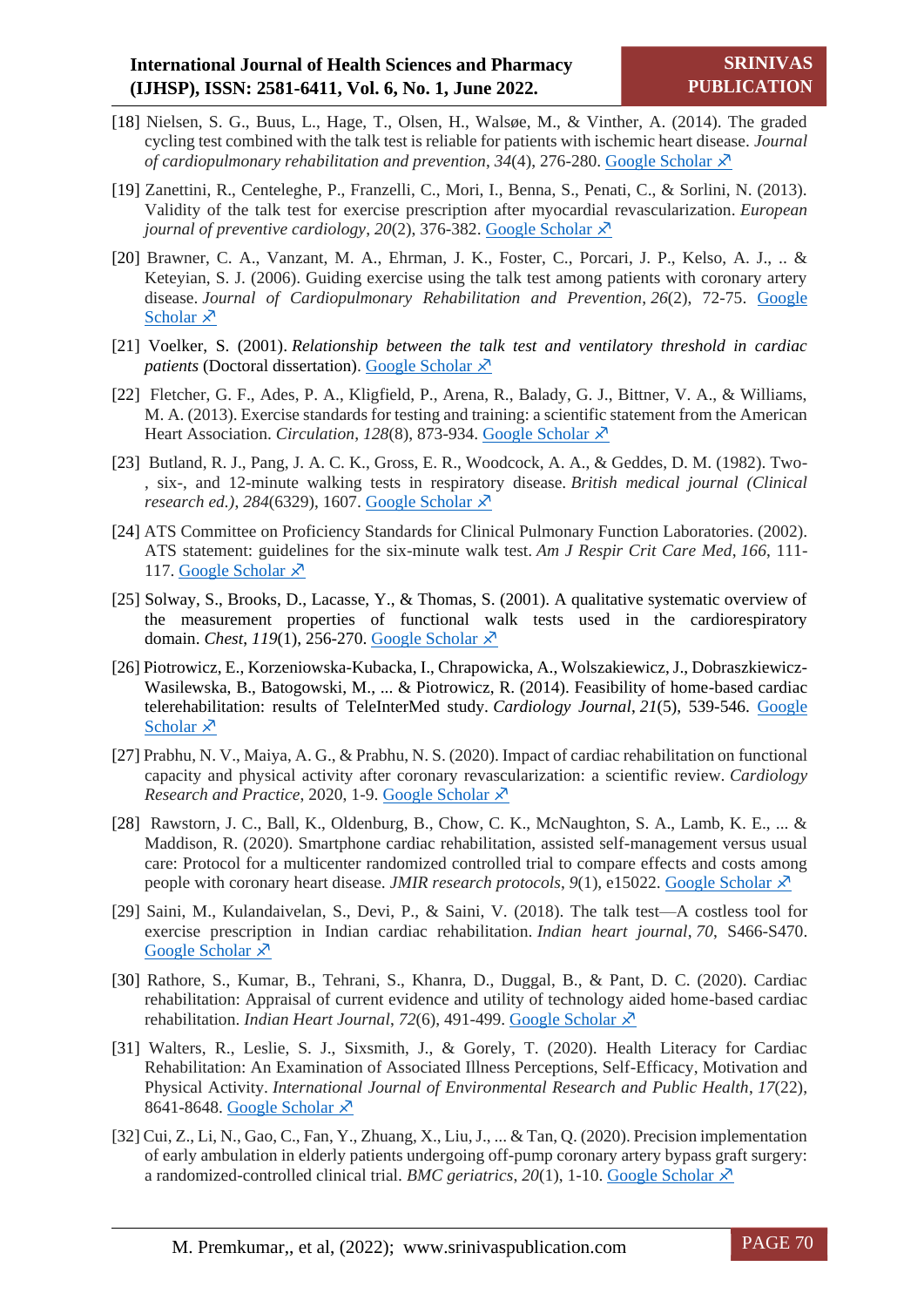- [18] Nielsen, S. G., Buus, L., Hage, T., Olsen, H., Walsøe, M., & Vinther, A. (2014). The graded cycling test combined with the talk test is reliable for patients with ischemic heart disease. *Journal of cardiopulmonary rehabilitation and prevention, 34(4), 276-280. [Google Scholar](file:///C:/Users/P.S%20AITHAL/Downloads/download%20(3).htm)*  $\chi$ *<sup>3</sup>*
- [19] Zanettini, R., Centeleghe, P., Franzelli, C., Mori, I., Benna, S., Penati, C., & Sorlini, N. (2013). Validity of the talk test for exercise prescription after myocardial revascularization. *European journal of preventive cardiology, 20(2), 376-382. Google Scholar*  $\lambda$ <sup>7</sup>
- [20] Brawner, C. A., Vanzant, M. A., Ehrman, J. K., Foster, C., Porcari, J. P., Kelso, A. J., .. & Keteyian, S. J. (2006). Guiding exercise using the talk test among patients with coronary artery disease. *Journal of Cardiopulmonary Rehabilitation and Prevention*, *26*(2), 72-75. [Google](file:///C:/Users/P.S%20AITHAL/Downloads/download%20(4).htm)  [Scholar](file:///C:/Users/P.S%20AITHAL/Downloads/download%20(4).htm)  $\lambda$
- [21] Voelker, S. (2001). *Relationship between the talk test and ventilatory threshold in cardiac patients* (Doctoral dissertation). [Google Scholar](file:///C:/Users/P.S%20AITHAL/Downloads/48987.htm)  $\lambda$ <sup>7</sup>
- [22] Fletcher, G. F., Ades, P. A., Kligfield, P., Arena, R., Balady, G. J., Bittner, V. A., & Williams, M. A. (2013). Exercise standards for testing and training: a scientific statement from the American Heart Association. *Circulation*, 128(8), 873-934. [Google Scholar](file:///C:/Users/P.S%20AITHAL/Downloads/CIR.0b013e31829b5b44)  $\lambda$ <sup>7</sup>
- [23] Butland, R. J., Pang, J. A. C. K., Gross, E. R., Woodcock, A. A., & Geddes, D. M. (1982). Two- , six-, and 12-minute walking tests in respiratory disease. *British medical journal (Clinical research ed.)*, *284*(6329), 1607. [Google Scholar](file:///C:/Users/P.S%20AITHAL/Downloads/download%20(5).htm)
- [24] ATS Committee on Proficiency Standards for Clinical Pulmonary Function Laboratories. (2002). ATS statement: guidelines for the six-minute walk test. *Am J Respir Crit Care Med*, *166*, 111- 117. [Google Scholar](file:///C:/Users/P.S%20AITHAL/Downloads/1572824500653411072.htm)  $\lambda$
- [25] Solway, S., Brooks, D., Lacasse, Y., & Thomas, S. (2001). A qualitative systematic overview of the measurement properties of functional walk tests used in the cardiorespiratory domain. *Chest*, *119*(1), 256-270. [Google Scholar](file:///C:/Users/P.S%20AITHAL/Downloads/S0012369215375930.htm)
- [26] Piotrowicz, E., Korzeniowska-Kubacka, I., Chrapowicka, A., Wolszakiewicz, J., Dobraszkiewicz-Wasilewska, B., Batogowski, M., ... & Piotrowicz, R. (2014). Feasibility of home-based cardiac telerehabilitation: results of TeleInterMed study. *Cardiology Journal*, *21*(5), 539-546. [Google](file:///C:/Users/P.S%20AITHAL/Downloads/36080.htm)  [Scholar](file:///C:/Users/P.S%20AITHAL/Downloads/36080.htm)  $\times$
- [27] Prabhu, N. V., Maiya, A. G., & Prabhu, N. S. (2020). Impact of cardiac rehabilitation on functional capacity and physical activity after coronary revascularization: a scientific review. *Cardiology Research and Practice*, 2020, 1-9. [Google Scholar](file:///C:/Users/P.S%20AITHAL/Downloads/download%20(6).htm)
- [28] Rawstorn, J. C., Ball, K., Oldenburg, B., Chow, C. K., McNaughton, S. A., Lamb, K. E., ... & Maddison, R. (2020). Smartphone cardiac rehabilitation, assisted self-management versus usual care: Protocol for a multicenter randomized controlled trial to compare effects and costs among people with coronary heart disease. *JMIR research protocols*, *9*(1), e15022. [Google Scholar](file:///C:/Users/P.S%20AITHAL/Downloads/download%20(7).htm)
- [29] Saini, M., Kulandaivelan, S., Devi, P., & Saini, V. (2018). The talk test—A costless tool for exercise prescription in Indian cardiac rehabilitation. *Indian heart journal*, *70*, S466-S470. [Google Scholar](file:///C:/Users/P.S%20AITHAL/Downloads/S0019483218302025%20(1).htm)  $\lambda$
- [30] Rathore, S., Kumar, B., Tehrani, S., Khanra, D., Duggal, B., & Pant, D. C. (2020). Cardiac rehabilitation: Appraisal of current evidence and utility of technology aided home-based cardiac rehabilitation. *Indian Heart Journal*, 72(6), 491-499. [Google Scholar](file:///C:/Users/P.S%20AITHAL/Downloads/S0019483220302121.htm)  $\times$
- [31] Walters, R., Leslie, S. J., Sixsmith, J., & Gorely, T. (2020). Health Literacy for Cardiac Rehabilitation: An Examination of Associated Illness Perceptions, Self-Efficacy, Motivation and Physical Activity. *International Journal of Environmental Research and Public Health*, *17*(22), 8641-8648. [Google Scholar](file:///C:/Users/P.S%20AITHAL/Downloads/8641.htm)  $\lambda$ <sup>7</sup>
- [32] Cui, Z., Li, N., Gao, C., Fan, Y., Zhuang, X., Liu, J., ... & Tan, Q. (2020). Precision implementation of early ambulation in elderly patients undergoing off-pump coronary artery bypass graft surgery: a randomized-controlled clinical trial. *BMC geriatrics*, 20(1), 1-10. [Google Scholar](file:///C:/Users/P.S%20AITHAL/Downloads/s12877-020-01823-1.htm)  $\chi$ <sup>5</sup>